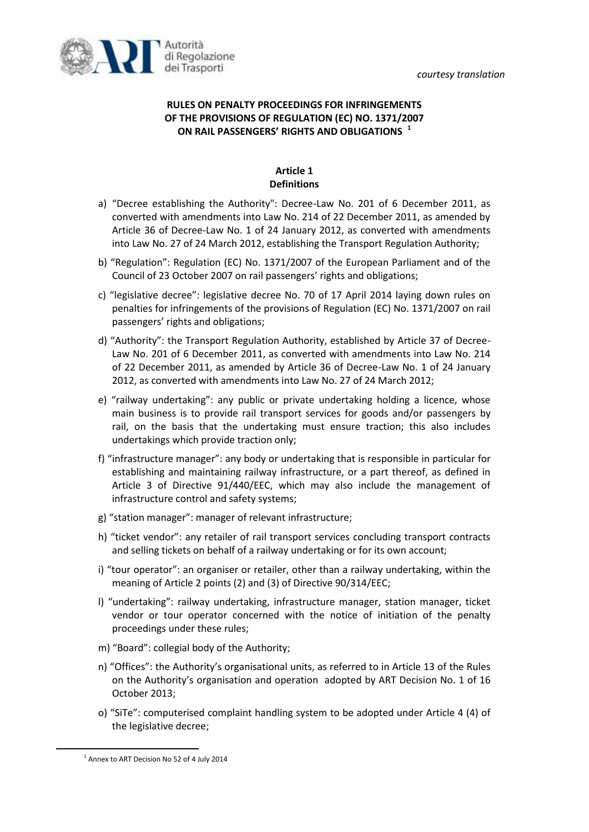*courtesy translation*



# **RULES ON PENALTY PROCEEDINGS FOR INFRINGEMENTS OF THE PROVISIONS OF REGULATION (EC) NO. 1371/2007 ON RAIL PASSENGERS' RIGHTS AND OBLIGATIONS <sup>1</sup>**

## **Article 1 Definitions**

- a) "Decree establishing the Authority": Decree-Law No. 201 of 6 December 2011, as converted with amendments into Law No. 214 of 22 December 2011, as amended by Article 36 of Decree-Law No. 1 of 24 January 2012, as converted with amendments into Law No. 27 of 24 March 2012, establishing the Transport Regulation Authority;
- b) "Regulation": Regulation (EC) No. 1371/2007 of the European Parliament and of the Council of 23 October 2007 on rail passengers' rights and obligations;
- c) "legislative decree": legislative decree No. 70 of 17 April 2014 laying down rules on penalties for infringements of the provisions of Regulation (EC) No. 1371/2007 on rail passengers' rights and obligations;
- d) "Authority": the Transport Regulation Authority, established by Article 37 of Decree-Law No. 201 of 6 December 2011, as converted with amendments into Law No. 214 of 22 December 2011, as amended by Article 36 of Decree-Law No. 1 of 24 January 2012, as converted with amendments into Law No. 27 of 24 March 2012;
- e) "railway undertaking": any public or private undertaking holding a licence, whose main business is to provide rail transport services for goods and/or passengers by rail, on the basis that the undertaking must ensure traction; this also includes undertakings which provide traction only;
- f) "infrastructure manager": any body or undertaking that is responsible in particular for establishing and maintaining railway infrastructure, or a part thereof, as defined in Article 3 of Directive 91/440/EEC, which may also include the management of infrastructure control and safety systems;
- g) "station manager": manager of relevant infrastructure;
- h) "ticket vendor": any retailer of rail transport services concluding transport contracts and selling tickets on behalf of a railway undertaking or for its own account;
- i) "tour operator": an organiser or retailer, other than a railway undertaking, within the meaning of Article 2 points (2) and (3) of Directive 90/314/EEC;
- l) "undertaking": railway undertaking, infrastructure manager, station manager, ticket vendor or tour operator concerned with the notice of initiation of the penalty proceedings under these rules;
- m) "Board": collegial body of the Authority;
- n) "Offices": the Authority's organisational units, as referred to in Article 13 of the Rules on the Authority's organisation and operation adopted by ART Decision No. 1 of 16 October 2013;
- o) "SiTe": computerised complaint handling system to be adopted under Article 4 (4) of the legislative decree;

 $\overline{a}$ 

<sup>&</sup>lt;sup>1</sup> Annex to ART Decision No 52 of 4 July 2014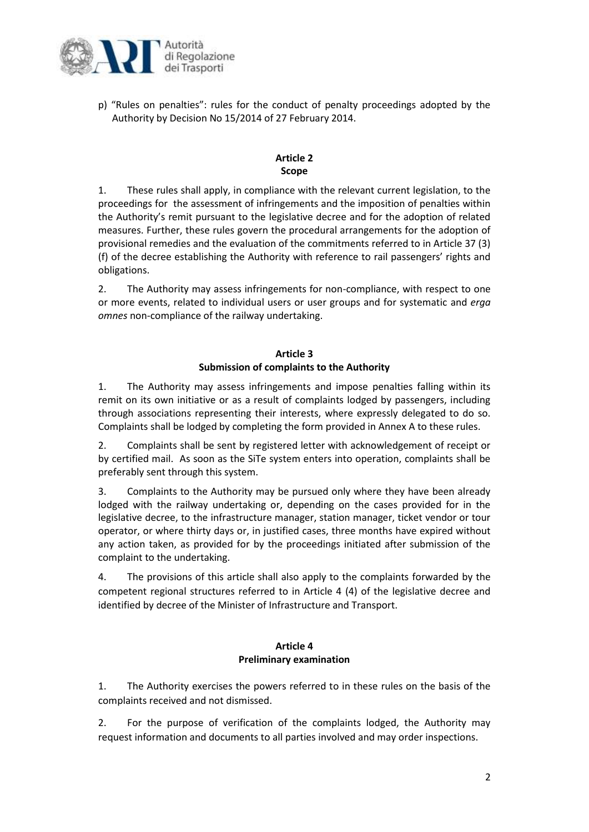

p) "Rules on penalties": rules for the conduct of penalty proceedings adopted by the Authority by Decision No 15/2014 of 27 February 2014.

## **Article 2 Scope**

1. These rules shall apply, in compliance with the relevant current legislation, to the proceedings for the assessment of infringements and the imposition of penalties within the Authority's remit pursuant to the legislative decree and for the adoption of related measures. Further, these rules govern the procedural arrangements for the adoption of provisional remedies and the evaluation of the commitments referred to in Article 37 (3) (f) of the decree establishing the Authority with reference to rail passengers' rights and obligations.

2. The Authority may assess infringements for non-compliance, with respect to one or more events, related to individual users or user groups and for systematic and *erga omnes* non-compliance of the railway undertaking.

# **Article 3 Submission of complaints to the Authority**

1. The Authority may assess infringements and impose penalties falling within its remit on its own initiative or as a result of complaints lodged by passengers, including through associations representing their interests, where expressly delegated to do so. Complaints shall be lodged by completing the form provided in Annex A to these rules.

2. Complaints shall be sent by registered letter with acknowledgement of receipt or by certified mail. As soon as the SiTe system enters into operation, complaints shall be preferably sent through this system.

3. Complaints to the Authority may be pursued only where they have been already lodged with the railway undertaking or, depending on the cases provided for in the legislative decree, to the infrastructure manager, station manager, ticket vendor or tour operator, or where thirty days or, in justified cases, three months have expired without any action taken, as provided for by the proceedings initiated after submission of the complaint to the undertaking.

4. The provisions of this article shall also apply to the complaints forwarded by the competent regional structures referred to in Article 4 (4) of the legislative decree and identified by decree of the Minister of Infrastructure and Transport.

## **Article 4 Preliminary examination**

1. The Authority exercises the powers referred to in these rules on the basis of the complaints received and not dismissed.

2. For the purpose of verification of the complaints lodged, the Authority may request information and documents to all parties involved and may order inspections.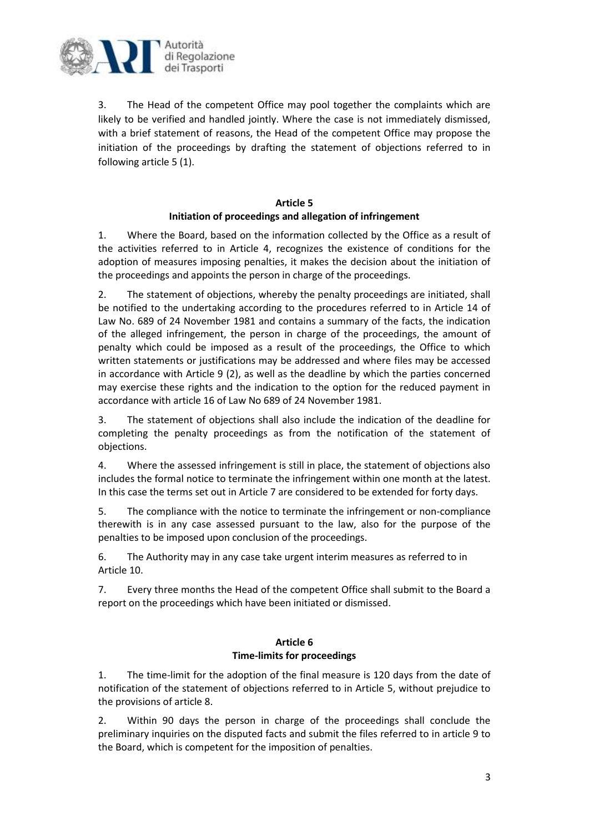

3. The Head of the competent Office may pool together the complaints which are likely to be verified and handled jointly. Where the case is not immediately dismissed, with a brief statement of reasons, the Head of the competent Office may propose the initiation of the proceedings by drafting the statement of objections referred to in following article 5 (1).

## **Article 5 Initiation of proceedings and allegation of infringement**

1. Where the Board, based on the information collected by the Office as a result of the activities referred to in Article 4, recognizes the existence of conditions for the adoption of measures imposing penalties, it makes the decision about the initiation of the proceedings and appoints the person in charge of the proceedings.

2. The statement of objections, whereby the penalty proceedings are initiated, shall be notified to the undertaking according to the procedures referred to in Article 14 of Law No. 689 of 24 November 1981 and contains a summary of the facts, the indication of the alleged infringement, the person in charge of the proceedings, the amount of penalty which could be imposed as a result of the proceedings, the Office to which written statements or justifications may be addressed and where files may be accessed in accordance with Article 9 (2), as well as the deadline by which the parties concerned may exercise these rights and the indication to the option for the reduced payment in accordance with article 16 of Law No 689 of 24 November 1981.

3. The statement of objections shall also include the indication of the deadline for completing the penalty proceedings as from the notification of the statement of objections.

4. Where the assessed infringement is still in place, the statement of objections also includes the formal notice to terminate the infringement within one month at the latest. In this case the terms set out in Article 7 are considered to be extended for forty days.

5. The compliance with the notice to terminate the infringement or non-compliance therewith is in any case assessed pursuant to the law, also for the purpose of the penalties to be imposed upon conclusion of the proceedings.

6. The Authority may in any case take urgent interim measures as referred to in Article 10.

7. Every three months the Head of the competent Office shall submit to the Board a report on the proceedings which have been initiated or dismissed.

# **Article 6 Time-limits for proceedings**

1. The time-limit for the adoption of the final measure is 120 days from the date of notification of the statement of objections referred to in Article 5, without prejudice to the provisions of article 8.

2. Within 90 days the person in charge of the proceedings shall conclude the preliminary inquiries on the disputed facts and submit the files referred to in article 9 to the Board, which is competent for the imposition of penalties.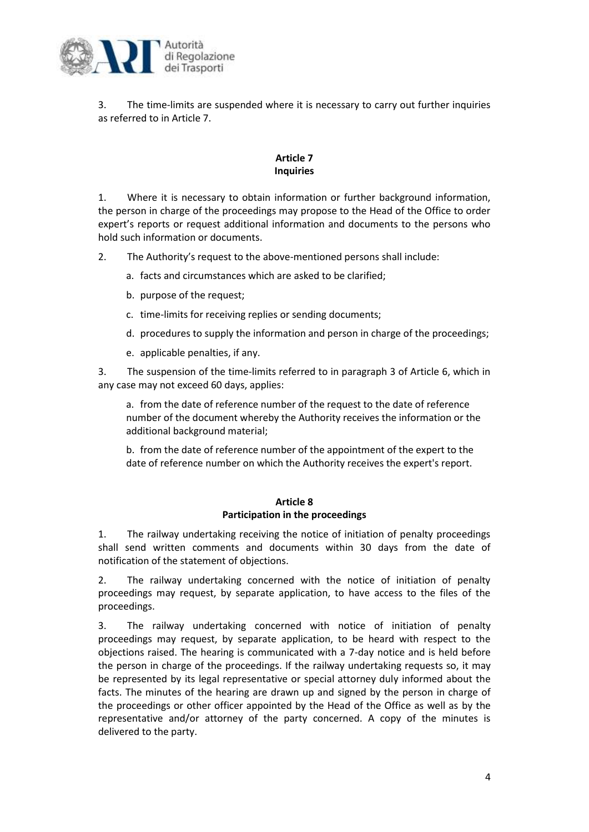

3. The time-limits are suspended where it is necessary to carry out further inquiries as referred to in Article 7.

## **Article 7 Inquiries**

1. Where it is necessary to obtain information or further background information, the person in charge of the proceedings may propose to the Head of the Office to order expert's reports or request additional information and documents to the persons who hold such information or documents.

2. The Authority's request to the above-mentioned persons shall include:

- a. facts and circumstances which are asked to be clarified;
- b. purpose of the request;
- c. time-limits for receiving replies or sending documents;
- d. procedures to supply the information and person in charge of the proceedings;
- e. applicable penalties, if any.

3. The suspension of the time-limits referred to in paragraph 3 of Article 6, which in any case may not exceed 60 days, applies:

a. from the date of reference number of the request to the date of reference number of the document whereby the Authority receives the information or the additional background material;

b. from the date of reference number of the appointment of the expert to the date of reference number on which the Authority receives the expert's report.

#### **Article 8 Participation in the proceedings**

1. The railway undertaking receiving the notice of initiation of penalty proceedings shall send written comments and documents within 30 days from the date of notification of the statement of objections.

2. The railway undertaking concerned with the notice of initiation of penalty proceedings may request, by separate application, to have access to the files of the proceedings.

3. The railway undertaking concerned with notice of initiation of penalty proceedings may request, by separate application, to be heard with respect to the objections raised. The hearing is communicated with a 7-day notice and is held before the person in charge of the proceedings. If the railway undertaking requests so, it may be represented by its legal representative or special attorney duly informed about the facts. The minutes of the hearing are drawn up and signed by the person in charge of the proceedings or other officer appointed by the Head of the Office as well as by the representative and/or attorney of the party concerned. A copy of the minutes is delivered to the party.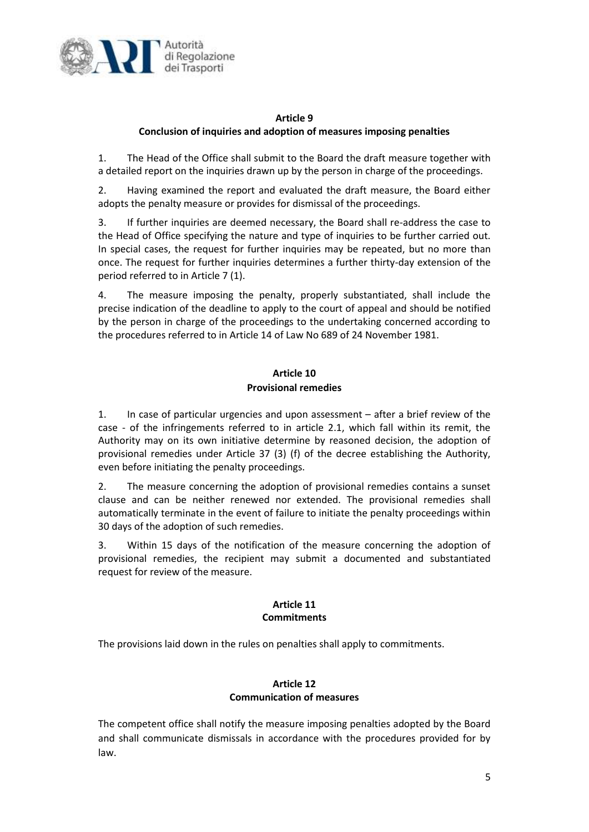

## **Article 9 Conclusion of inquiries and adoption of measures imposing penalties**

1. The Head of the Office shall submit to the Board the draft measure together with a detailed report on the inquiries drawn up by the person in charge of the proceedings.

2. Having examined the report and evaluated the draft measure, the Board either adopts the penalty measure or provides for dismissal of the proceedings.

3. If further inquiries are deemed necessary, the Board shall re-address the case to the Head of Office specifying the nature and type of inquiries to be further carried out. In special cases, the request for further inquiries may be repeated, but no more than once. The request for further inquiries determines a further thirty-day extension of the period referred to in Article 7 (1).

4. The measure imposing the penalty, properly substantiated, shall include the precise indication of the deadline to apply to the court of appeal and should be notified by the person in charge of the proceedings to the undertaking concerned according to the procedures referred to in Article 14 of Law No 689 of 24 November 1981.

## **Article 10 Provisional remedies**

1. In case of particular urgencies and upon assessment – after a brief review of the case - of the infringements referred to in article 2.1, which fall within its remit, the Authority may on its own initiative determine by reasoned decision, the adoption of provisional remedies under Article 37 (3) (f) of the decree establishing the Authority, even before initiating the penalty proceedings.

2. The measure concerning the adoption of provisional remedies contains a sunset clause and can be neither renewed nor extended. The provisional remedies shall automatically terminate in the event of failure to initiate the penalty proceedings within 30 days of the adoption of such remedies.

3. Within 15 days of the notification of the measure concerning the adoption of provisional remedies, the recipient may submit a documented and substantiated request for review of the measure.

## **Article 11 Commitments**

The provisions laid down in the rules on penalties shall apply to commitments.

## **Article 12 Communication of measures**

The competent office shall notify the measure imposing penalties adopted by the Board and shall communicate dismissals in accordance with the procedures provided for by law.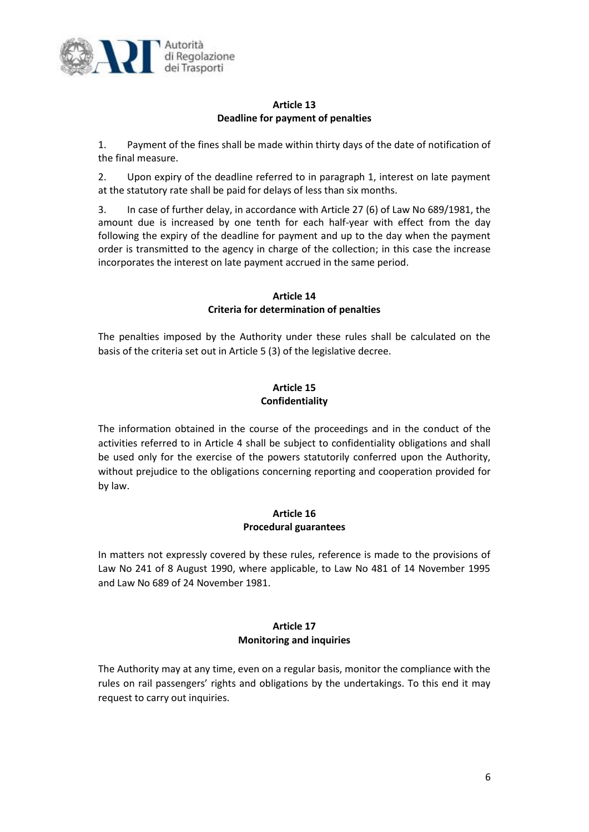

## **Article 13 Deadline for payment of penalties**

1. Payment of the fines shall be made within thirty days of the date of notification of the final measure.

2. Upon expiry of the deadline referred to in paragraph 1, interest on late payment at the statutory rate shall be paid for delays of less than six months.

3. In case of further delay, in accordance with Article 27 (6) of Law No 689/1981, the amount due is increased by one tenth for each half-year with effect from the day following the expiry of the deadline for payment and up to the day when the payment order is transmitted to the agency in charge of the collection; in this case the increase incorporates the interest on late payment accrued in the same period.

## **Article 14 Criteria for determination of penalties**

The penalties imposed by the Authority under these rules shall be calculated on the basis of the criteria set out in Article 5 (3) of the legislative decree.

## **Article 15 Confidentiality**

The information obtained in the course of the proceedings and in the conduct of the activities referred to in Article 4 shall be subject to confidentiality obligations and shall be used only for the exercise of the powers statutorily conferred upon the Authority, without prejudice to the obligations concerning reporting and cooperation provided for by law.

#### **Article 16 Procedural guarantees**

In matters not expressly covered by these rules, reference is made to the provisions of Law No 241 of 8 August 1990, where applicable, to Law No 481 of 14 November 1995 and Law No 689 of 24 November 1981.

# **Article 17 Monitoring and inquiries**

The Authority may at any time, even on a regular basis, monitor the compliance with the rules on rail passengers' rights and obligations by the undertakings. To this end it may request to carry out inquiries.